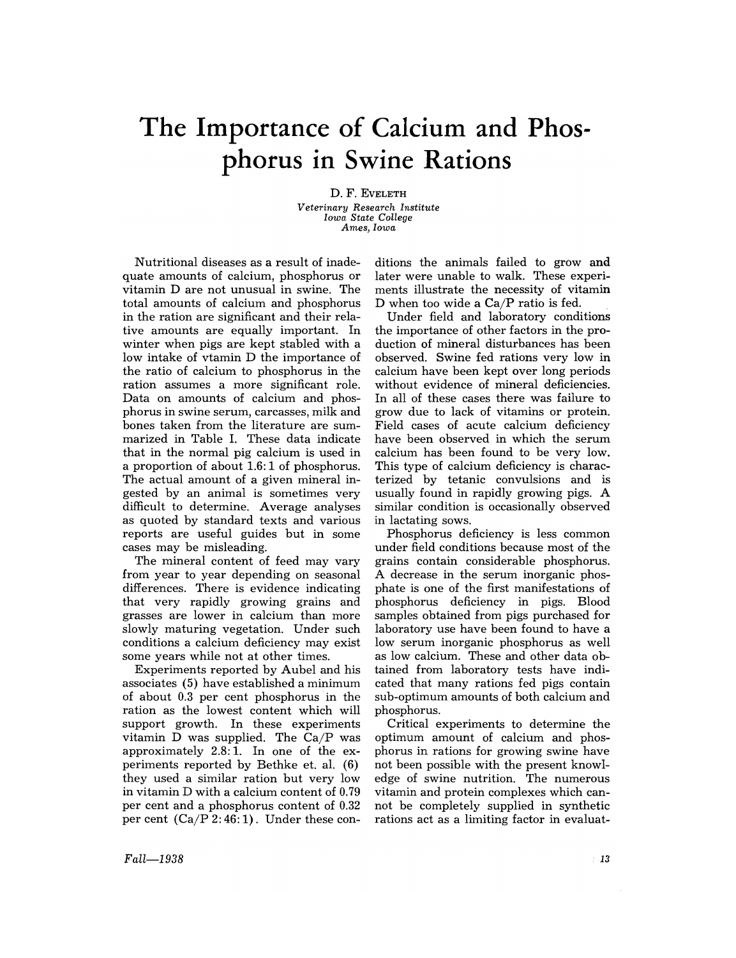## **The Importance of Calcium and Phosphorus in Swine Rations**

D. F. EVELETH *Veterinary Research Institute Iowa State College Ames, Iowa* 

Nutritional diseases as a result of inadequate amounts of calcium, phosphorus or vitamin D are not unusual in swine. The total amounts of calcium and phosphorus in the ration are significant and their relative amounts are equally important. In winter when pigs are kept stabled with a low intake of vtamin D the importance of the ratio of calcium to phosphorus in the ration assumes a more significant role. Data on amounts of calcium and phosphorus in swine serum, carcasses, milk and bones taken from the literature are summarized in Table 1. These data indicate that in the normal pig calcium is used in a proportion of about 1.6: 1 of phosphorus. The actual amount of a given mineral ingested by an animal is sometimes very difficult to determine. Average analyses as quoted by standard texts and various reports are useful guides but in some cases may be misleading.

The mineral content of feed may vary from year to year depending on seasonal differences. There is evidence indicating that very rapidly growing grains and grasses are lower in calcium than more slowly maturing vegetation. Under such conditions a calcium deficiency may exist some years while not at other times.

Experiments reported by Aubel and his associates (5) have established a minimum of about 0.3 per cent phosphorus in the ration as the lowest content which will support growth. In these experiments vitamin  $D$  was supplied. The  $Ca/P$  was approximately 2.8: 1. In one of the experiments reported by Bethke et. al. (6) they used a similar ration but very low in vitamin D with a calcium content of 0.79 per cent and a phosphorus content of 0.32 per cent  $(Ca/P 2: 46:1)$ . Under these con-

ditions the animals failed to grow and later were unable to walk. These experiments illustrate the necessity of vitamin D when too wide a Ca/P ratio is fed.

Under field and laboratory conditions the importance of other factors in the production of mineral disturbances has been observed. Swine fed rations very low in calcium have been kept over long periods without evidence of mineral deficiencies. In all of these cases there was failure to grow due to lack of vitamins or protein. Field cases of acute calcium deficiency have been observed in which the serum calcium has been found to be very low. This type of calcium deficiency is characterized by tetanic convulsions and is usually found in rapidly growing pigs. A similar condition is occasionally observed in lactating sows.

Phosphorus deficiency is less common under field conditions because most of the grains contain considerable phosphorus. A decrease in the serum inorganic phosphate is one of the first manifestations of phosphorus deficiency in pigs. Blood samples obtained from pigs purchased for laboratory use have been found to have a low serum inorganic phosphorus as well as low calcium. These and other data obtained from laboratory tests have indicated that many rations fed pigs contain sub-optimum amounts of both calcium and phosphorus.

Critical experiments to determine the optimum amount of calcium and phosphorus in rations for growing swine have not been possible with the present knowledge of swine nutrition. The numerous vitamin and protein complexes which cannot be completely supplied in synthetic rations act as a limiting factor in evaluat